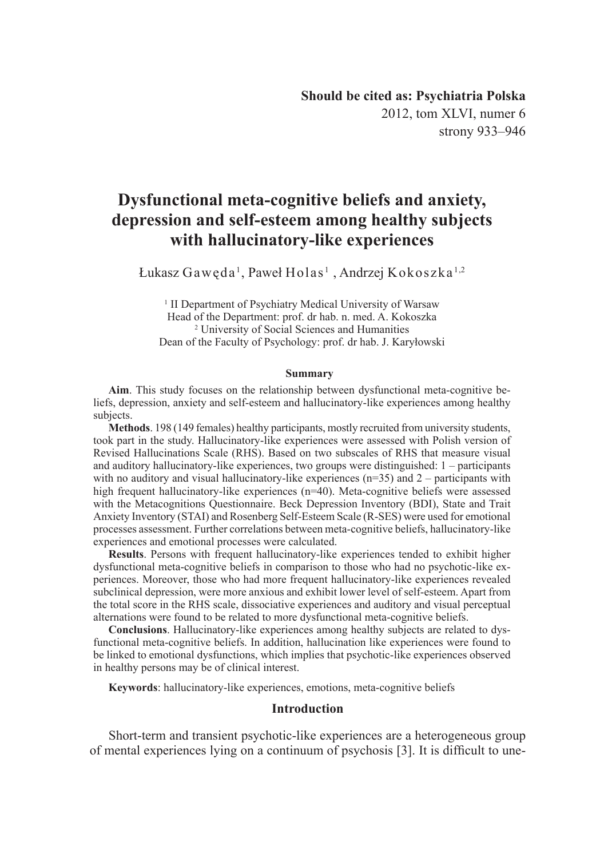2012, tom XLVI, numer 6 strony 933–946

# **Dysfunctional meta-cognitive beliefs and anxiety, depression and self-esteem among healthy subjects with hallucinatory-like experiences**

Łukasz Gawęda<sup>1</sup>, Paweł Holas<sup>1</sup>, Andrzej Kokoszka<sup>1,2</sup>

<sup>1</sup> II Department of Psychiatry Medical University of Warsaw Head of the Department: prof. dr hab. n. med. A. Kokoszka 2 University of Social Sciences and Humanities Dean of the Faculty of Psychology: prof. dr hab. J. Karyłowski

#### **Summary**

**Aim**. This study focuses on the relationship between dysfunctional meta-cognitive beliefs, depression, anxiety and self-esteem and hallucinatory-like experiences among healthy subjects.

**Methods**. 198 (149 females) healthy participants, mostly recruited from university students, took part in the study. Hallucinatory-like experiences were assessed with Polish version of Revised Hallucinations Scale (RHS). Based on two subscales of RHS that measure visual and auditory hallucinatory-like experiences, two groups were distinguished: 1 – participants with no auditory and visual hallucinatory-like experiences (n=35) and 2 – participants with high frequent hallucinatory-like experiences (n=40). Meta-cognitive beliefs were assessed with the Metacognitions Questionnaire. Beck Depression Inventory (BDI), State and Trait Anxiety Inventory (STAI) and Rosenberg Self-Esteem Scale (R-SES) were used for emotional processes assessment. Further correlations between meta-cognitive beliefs, hallucinatory-like experiences and emotional processes were calculated.

**Results**. Persons with frequent hallucinatory-like experiences tended to exhibit higher dysfunctional meta-cognitive beliefs in comparison to those who had no psychotic-like experiences. Moreover, those who had more frequent hallucinatory-like experiences revealed subclinical depression, were more anxious and exhibit lower level of self-esteem. Apart from the total score in the RHS scale, dissociative experiences and auditory and visual perceptual alternations were found to be related to more dysfunctional meta-cognitive beliefs.

**Conclusions**. Hallucinatory-like experiences among healthy subjects are related to dysfunctional meta-cognitive beliefs. In addition, hallucination like experiences were found to be linked to emotional dysfunctions, which implies that psychotic-like experiences observed in healthy persons may be of clinical interest.

**Keywords**: hallucinatory-like experiences, emotions, meta-cognitive beliefs

### **Introduction**

Short-term and transient psychotic-like experiences are a heterogeneous group of mental experiences lying on a continuum of psychosis [3]. It is difficult to une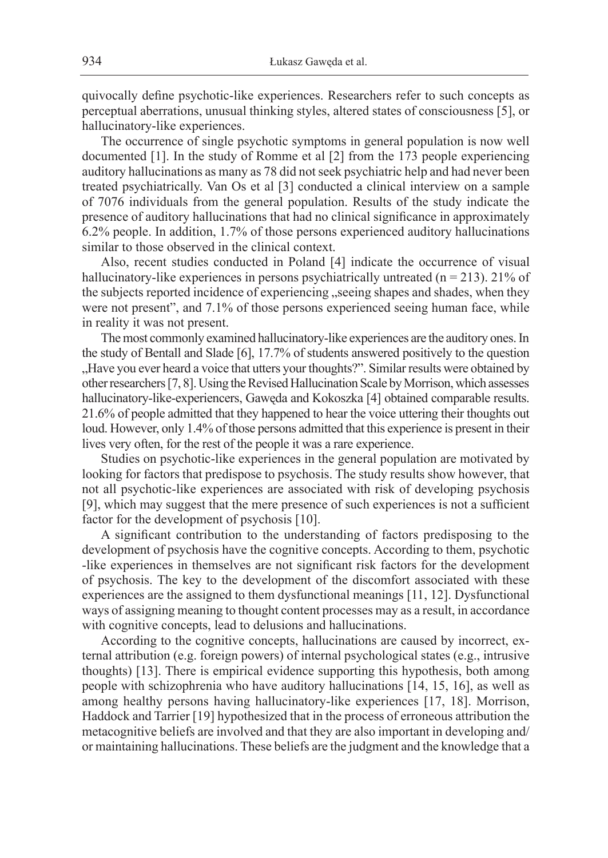quivocally define psychotic-like experiences. Researchers refer to such concepts as perceptual aberrations, unusual thinking styles, altered states of consciousness [5], or hallucinatory-like experiences.

The occurrence of single psychotic symptoms in general population is now well documented [1]. In the study of Romme et al [2] from the 173 people experiencing auditory hallucinations as many as 78 did not seek psychiatric help and had never been treated psychiatrically. Van Os et al [3] conducted a clinical interview on a sample of 7076 individuals from the general population. Results of the study indicate the presence of auditory hallucinations that had no clinical significance in approximately 6.2% people. In addition, 1.7% of those persons experienced auditory hallucinations similar to those observed in the clinical context.

Also, recent studies conducted in Poland [4] indicate the occurrence of visual hallucinatory-like experiences in persons psychiatrically untreated (n = 213). 21% of the subjects reported incidence of experiencing "seeing shapes and shades, when they were not present", and 7.1% of those persons experienced seeing human face, while in reality it was not present.

The most commonly examined hallucinatory-like experiences are the auditory ones. In the study of Bentall and Slade [6], 17.7% of students answered positively to the question "Have you ever heard a voice that utters your thoughts?". Similar results were obtained by other researchers [7, 8]. Using the Revised Hallucination Scale by Morrison, which assesses hallucinatory-like-experiencers, Gawęda and Kokoszka [4] obtained comparable results. 21.6% of people admitted that they happened to hear the voice uttering their thoughts out loud. However, only 1.4% of those persons admitted that this experience is present in their lives very often, for the rest of the people it was a rare experience.

Studies on psychotic-like experiences in the general population are motivated by looking for factors that predispose to psychosis. The study results show however, that not all psychotic-like experiences are associated with risk of developing psychosis [9], which may suggest that the mere presence of such experiences is not a sufficient factor for the development of psychosis [10].

A significant contribution to the understanding of factors predisposing to the development of psychosis have the cognitive concepts. According to them, psychotic -like experiences in themselves are not significant risk factors for the development of psychosis. The key to the development of the discomfort associated with these experiences are the assigned to them dysfunctional meanings [11, 12]. Dysfunctional ways of assigning meaning to thought content processes may as a result, in accordance with cognitive concepts, lead to delusions and hallucinations.

According to the cognitive concepts, hallucinations are caused by incorrect, external attribution (e.g. foreign powers) of internal psychological states (e.g., intrusive thoughts) [13]. There is empirical evidence supporting this hypothesis, both among people with schizophrenia who have auditory hallucinations [14, 15, 16], as well as among healthy persons having hallucinatory-like experiences [17, 18]. Morrison, Haddock and Tarrier [19] hypothesized that in the process of erroneous attribution the metacognitive beliefs are involved and that they are also important in developing and/ or maintaining hallucinations. These beliefs are the judgment and the knowledge that a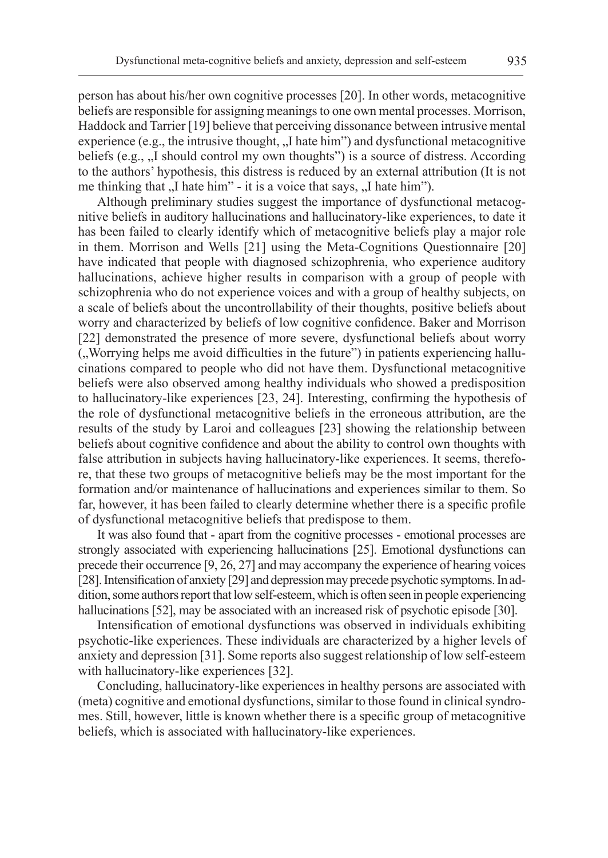person has about his/her own cognitive processes [20]. In other words, metacognitive beliefs are responsible for assigning meanings to one own mental processes. Morrison, Haddock and Tarrier [19] believe that perceiving dissonance between intrusive mental experience (e.g., the intrusive thought,  $\Lambda$  hate him") and dysfunctional metacognitive beliefs (e.g.,  $\mu$  should control my own thoughts") is a source of distress. According to the authors' hypothesis, this distress is reduced by an external attribution (It is not me thinking that  $\overline{N}$  hate him" - it is a voice that says,  $\overline{N}$  hate him").

Although preliminary studies suggest the importance of dysfunctional metacognitive beliefs in auditory hallucinations and hallucinatory-like experiences, to date it has been failed to clearly identify which of metacognitive beliefs play a major role in them. Morrison and Wells [21] using the Meta-Cognitions Questionnaire [20] have indicated that people with diagnosed schizophrenia, who experience auditory hallucinations, achieve higher results in comparison with a group of people with schizophrenia who do not experience voices and with a group of healthy subjects, on a scale of beliefs about the uncontrollability of their thoughts, positive beliefs about worry and characterized by beliefs of low cognitive confidence. Baker and Morrison [22] demonstrated the presence of more severe, dysfunctional beliefs about worry ("Worrying helps me avoid difficulties in the future") in patients experiencing hallucinations compared to people who did not have them. Dysfunctional metacognitive beliefs were also observed among healthy individuals who showed a predisposition to hallucinatory-like experiences [23, 24]. Interesting, confirming the hypothesis of the role of dysfunctional metacognitive beliefs in the erroneous attribution, are the results of the study by Laroi and colleagues [23] showing the relationship between beliefs about cognitive confidence and about the ability to control own thoughts with false attribution in subjects having hallucinatory-like experiences. It seems, therefore, that these two groups of metacognitive beliefs may be the most important for the formation and/or maintenance of hallucinations and experiences similar to them. So far, however, it has been failed to clearly determine whether there is a specific profile of dysfunctional metacognitive beliefs that predispose to them.

It was also found that - apart from the cognitive processes - emotional processes are strongly associated with experiencing hallucinations [25]. Emotional dysfunctions can precede their occurrence [9, 26, 27] and may accompany the experience of hearing voices [28]. Intensification of anxiety [29] and depression may precede psychotic symptoms. In addition, some authors report that low self-esteem, which is often seen in people experiencing hallucinations [52], may be associated with an increased risk of psychotic episode [30].

Intensification of emotional dysfunctions was observed in individuals exhibiting psychotic-like experiences. These individuals are characterized by a higher levels of anxiety and depression [31]. Some reports also suggest relationship of low self-esteem with hallucinatory-like experiences [32].

Concluding, hallucinatory-like experiences in healthy persons are associated with (meta) cognitive and emotional dysfunctions, similar to those found in clinical syndromes. Still, however, little is known whether there is a specific group of metacognitive beliefs, which is associated with hallucinatory-like experiences.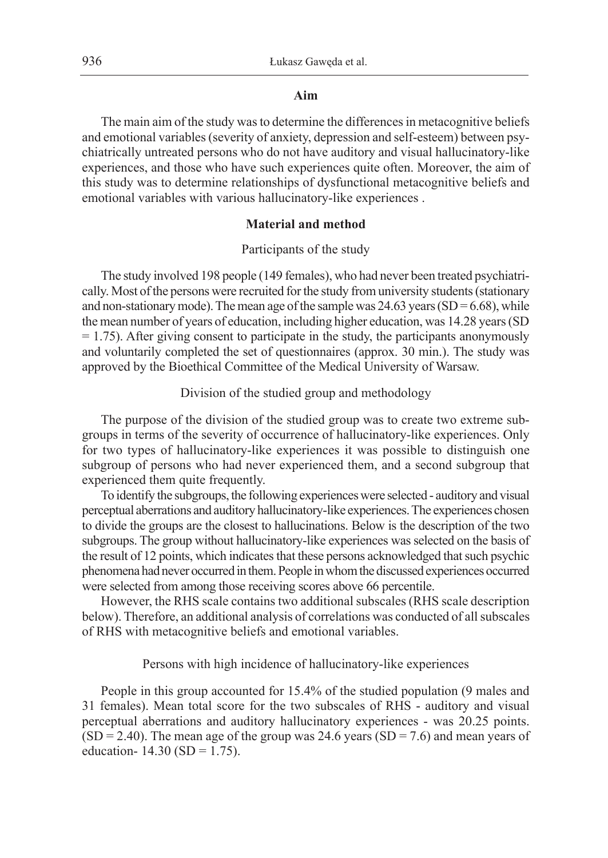### **Aim**

The main aim of the study was to determine the differences in metacognitive beliefs and emotional variables (severity of anxiety, depression and self-esteem) between psychiatrically untreated persons who do not have auditory and visual hallucinatory-like experiences, and those who have such experiences quite often. Moreover, the aim of this study was to determine relationships of dysfunctional metacognitive beliefs and emotional variables with various hallucinatory-like experiences .

## **Material and method**

### Participants of the study

The study involved 198 people (149 females), who had never been treated psychiatrically. Most of the persons were recruited for the study from university students (stationary and non-stationary mode). The mean age of the sample was  $24.63$  years (SD = 6.68), while the mean number of years of education, including higher education, was 14.28 years (SD  $= 1.75$ ). After giving consent to participate in the study, the participants anonymously and voluntarily completed the set of questionnaires (approx. 30 min.). The study was approved by the Bioethical Committee of the Medical University of Warsaw.

## Division of the studied group and methodology

The purpose of the division of the studied group was to create two extreme subgroups in terms of the severity of occurrence of hallucinatory-like experiences. Only for two types of hallucinatory-like experiences it was possible to distinguish one subgroup of persons who had never experienced them, and a second subgroup that experienced them quite frequently.

To identify the subgroups, the following experiences were selected - auditory and visual perceptual aberrations and auditory hallucinatory-like experiences. The experiences chosen to divide the groups are the closest to hallucinations. Below is the description of the two subgroups. The group without hallucinatory-like experiences was selected on the basis of the result of 12 points, which indicates that these persons acknowledged that such psychic phenomena had never occurred in them. People in whom the discussed experiences occurred were selected from among those receiving scores above 66 percentile.

However, the RHS scale contains two additional subscales (RHS scale description below). Therefore, an additional analysis of correlations was conducted of all subscales of RHS with metacognitive beliefs and emotional variables.

### Persons with high incidence of hallucinatory-like experiences

People in this group accounted for 15.4% of the studied population (9 males and 31 females). Mean total score for the two subscales of RHS - auditory and visual perceptual aberrations and auditory hallucinatory experiences - was 20.25 points.  $(SD = 2.40)$ . The mean age of the group was 24.6 years  $(SD = 7.6)$  and mean years of education-  $14.30$  (SD = 1.75).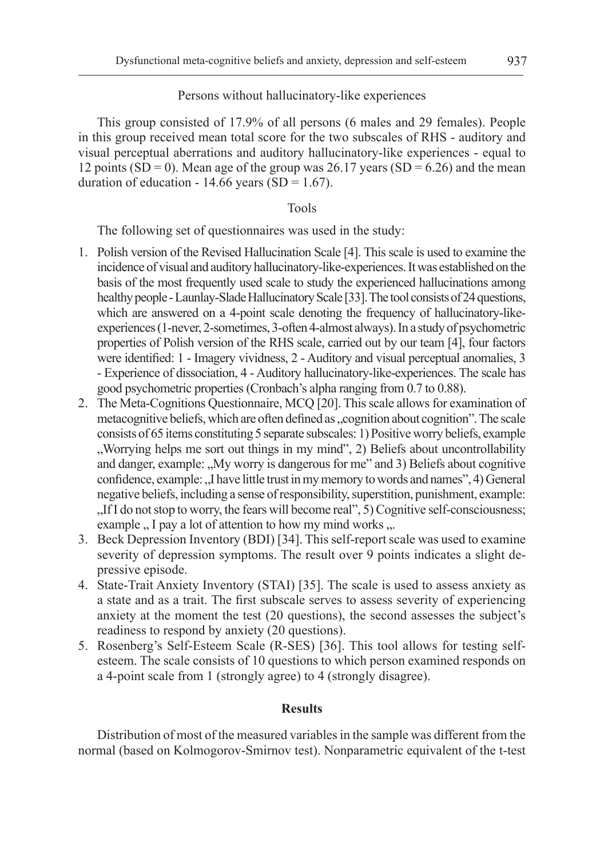## Persons without hallucinatory-like experiences

This group consisted of 17.9% of all persons (6 males and 29 females). People in this group received mean total score for the two subscales of RHS - auditory and visual perceptual aberrations and auditory hallucinatory-like experiences - equal to 12 points (SD = 0). Mean age of the group was  $26.17$  years (SD = 6.26) and the mean duration of education - 14.66 years (SD = 1.67).

## Tools

The following set of questionnaires was used in the study:

- 1. Polish version of the Revised Hallucination Scale [4]. This scale is used to examine the incidence of visual and auditory hallucinatory-like-experiences. It was established on the basis of the most frequently used scale to study the experienced hallucinations among healthy people - Launlay-Slade Hallucinatory Scale [33]. The tool consists of 24 questions, which are answered on a 4-point scale denoting the frequency of hallucinatory-likeexperiences (1-never, 2-sometimes, 3-often 4-almost always). In a study of psychometric properties of Polish version of the RHS scale, carried out by our team [4], four factors were identified: 1 - Imagery vividness, 2 - Auditory and visual perceptual anomalies, 3 - Experience of dissociation, 4 - Auditory hallucinatory-like-experiences. The scale has good psychometric properties (Cronbach's alpha ranging from 0.7 to 0.88).
- 2. The Meta-Cognitions Questionnaire, MCQ [20]. This scale allows for examination of metacognitive beliefs, which are often defined as "cognition about cognition". The scale consists of 65 items constituting 5 separate subscales: 1) Positive worry beliefs, example "Worrying helps me sort out things in my mind", 2) Beliefs about uncontrollability and danger, example: "My worry is dangerous for me" and 3) Beliefs about cognitive confidence, example: "I have little trust in my memory to words and names", 4) General negative beliefs, including a sense of responsibility, superstition, punishment, example: "If I do not stop to worry, the fears will become real", 5) Cognitive self-consciousness; example  $\,$ , I pay a lot of attention to how my mind works  $\,$ .
- 3. Beck Depression Inventory (BDI) [34]. This self-report scale was used to examine severity of depression symptoms. The result over 9 points indicates a slight depressive episode.
- 4. State-Trait Anxiety Inventory (STAI) [35]. The scale is used to assess anxiety as a state and as a trait. The first subscale serves to assess severity of experiencing anxiety at the moment the test (20 questions), the second assesses the subject's readiness to respond by anxiety (20 questions).
- 5. Rosenberg's Self-Esteem Scale (R-SES) [36]. This tool allows for testing selfesteem. The scale consists of 10 questions to which person examined responds on a 4-point scale from 1 (strongly agree) to 4 (strongly disagree).

## **Results**

Distribution of most of the measured variables in the sample was different from the normal (based on Kolmogorov-Smirnov test). Nonparametric equivalent of the t-test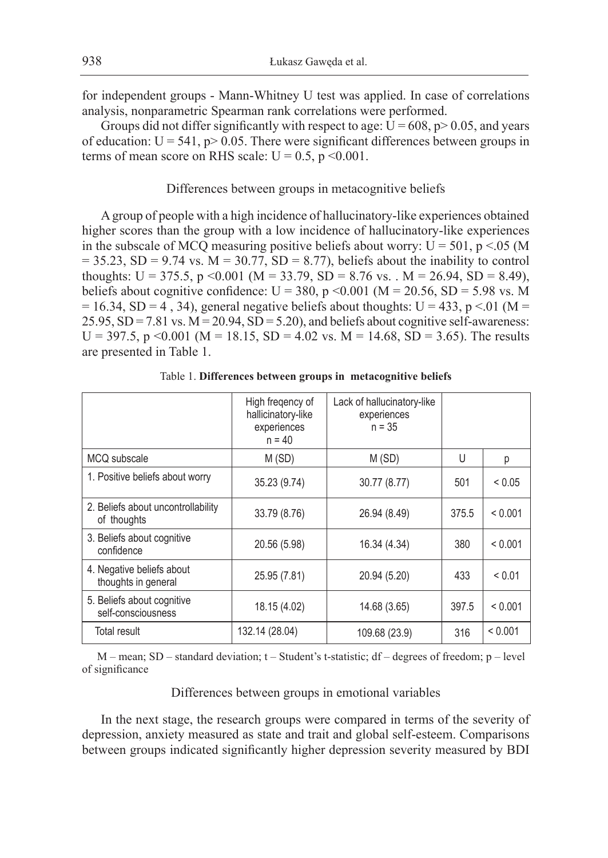for independent groups - Mann-Whitney U test was applied. In case of correlations analysis, nonparametric Spearman rank correlations were performed.

Groups did not differ significantly with respect to age:  $U = 608$ , p $> 0.05$ , and years of education:  $U = 541$ ,  $p > 0.05$ . There were significant differences between groups in terms of mean score on RHS scale:  $U = 0.5$ ,  $p \le 0.001$ .

#### Differences between groups in metacognitive beliefs

A group of people with a high incidence of hallucinatory-like experiences obtained higher scores than the group with a low incidence of hallucinatory-like experiences in the subscale of MCQ measuring positive beliefs about worry:  $U = 501$ ,  $p < 05$  (M  $= 35.23$ , SD = 9.74 vs. M = 30.77, SD = 8.77), beliefs about the inability to control thoughts: U = 375.5, p < 0.001 (M = 33.79, SD = 8.76 vs. . M = 26.94, SD = 8.49), beliefs about cognitive confidence:  $U = 380$ , p <0.001 (M = 20.56, SD = 5.98 vs. M  $= 16.34$ , SD = 4, 34), general negative beliefs about thoughts: U = 433, p < 01 (M =  $25.95$ ,  $SD = 7.81$  vs.  $M = 20.94$ ,  $SD = 5.20$ ), and beliefs about cognitive self-awareness: U = 397.5, p < 0.001 (M = 18.15, SD = 4.02 vs. M = 14.68, SD = 3.65). The results are presented in Table 1.

|                                                   | High freqency of<br>hallicinatory-like<br>experiences<br>$n = 40$ | Lack of hallucinatory-like<br>experiences<br>$n = 35$ |       |             |
|---------------------------------------------------|-------------------------------------------------------------------|-------------------------------------------------------|-------|-------------|
| MCQ subscale                                      | M(SD)                                                             | M(SD)                                                 | U     | р           |
| 1. Positive beliefs about worry                   | 35.23 (9.74)                                                      | 30.77 (8.77)                                          | 501   | < 0.05      |
| 2. Beliefs about uncontrollability<br>of thoughts | 33.79 (8.76)                                                      | 26.94 (8.49)                                          | 375.5 | < 0.001     |
| 3. Beliefs about cognitive<br>confidence          | 20.56 (5.98)                                                      | 16.34 (4.34)                                          | 380   | < 0.001     |
| 4. Negative beliefs about<br>thoughts in general  | 25.95 (7.81)                                                      | 20.94 (5.20)                                          | 433   | ${}_{0.01}$ |
| 5. Beliefs about cognitive<br>self-consciousness  | 18.15 (4.02)                                                      | 14.68 (3.65)                                          | 397.5 | < 0.001     |
| Total result                                      | 132.14 (28.04)                                                    | 109.68 (23.9)                                         | 316   | < 0.001     |

Table 1. **Differences between groups in metacognitive beliefs**

 $M$  – mean; SD – standard deviation;  $t$  – Student's t-statistic; df – degrees of freedom;  $p$  – level of significance

## Differences between groups in emotional variables

In the next stage, the research groups were compared in terms of the severity of depression, anxiety measured as state and trait and global self-esteem. Comparisons between groups indicated significantly higher depression severity measured by BDI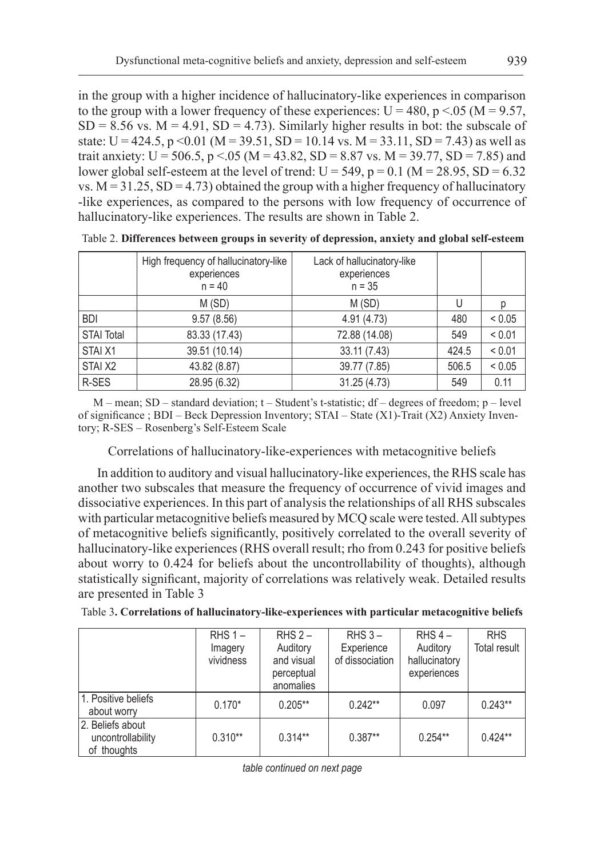in the group with a higher incidence of hallucinatory-like experiences in comparison to the group with a lower frequency of these experiences:  $U = 480$ , p <.05 (M = 9.57,  $SD = 8.56$  vs.  $M = 4.91$ ,  $SD = 4.73$ ). Similarly higher results in bot: the subscale of state:  $U = 424.5$ ,  $p \le 0.01$  (M = 39.51, SD = 10.14 vs. M = 33.11, SD = 7.43) as well as trait anxiety: U = 506.5, p <.05 (M = 43.82, SD = 8.87 vs. M = 39.77, SD = 7.85) and lower global self-esteem at the level of trend:  $U = 549$ ,  $p = 0.1$  (M = 28.95, SD = 6.32) vs.  $M = 31.25$ ,  $SD = 4.73$ ) obtained the group with a higher frequency of hallucinatory -like experiences, as compared to the persons with low frequency of occurrence of hallucinatory-like experiences. The results are shown in Table 2.

|                   | High frequency of hallucinatory-like<br>experiences<br>$n = 40$ | Lack of hallucinatory-like<br>experiences<br>$n = 35$ |       |            |
|-------------------|-----------------------------------------------------------------|-------------------------------------------------------|-------|------------|
|                   | M(SD)                                                           | M(SD)                                                 | U     |            |
| <b>BDI</b>        | 9.57(8.56)                                                      | 4.91(4.73)                                            | 480   | < 0.05     |
| <b>STAI Total</b> | 83.33 (17.43)                                                   | 72.88 (14.08)                                         | 549   | < 0.01     |
| STAI X1           | 39.51 (10.14)                                                   | 33.11 (7.43)                                          | 424.5 | < 0.01     |
| STAI X2           | 43.82 (8.87)                                                    | 39.77 (7.85)                                          | 506.5 | ${}< 0.05$ |
| R-SES             | 28.95 (6.32)                                                    | 31.25 (4.73)                                          | 549   | 0.11       |

Table 2. **Differences between groups in severity of depression, anxiety and global self-esteem**

 $M$  – mean; SD – standard deviation; t – Student's t-statistic; df – degrees of freedom;  $p$  – level of significance ; BDI – Beck Depression Inventory; STAI – State (X1)-Trait (X2) Anxiety Inventory; R-SES – Rosenberg's Self-Esteem Scale

Correlations of hallucinatory-like-experiences with metacognitive beliefs

In addition to auditory and visual hallucinatory-like experiences, the RHS scale has another two subscales that measure the frequency of occurrence of vivid images and dissociative experiences. In this part of analysis the relationships of all RHS subscales with particular metacognitive beliefs measured by MCQ scale were tested. All subtypes of metacognitive beliefs significantly, positively correlated to the overall severity of hallucinatory-like experiences (RHS overall result; rho from 0.243 for positive beliefs about worry to 0.424 for beliefs about the uncontrollability of thoughts), although statistically significant, majority of correlations was relatively weak. Detailed results are presented in Table 3

| Table 3. Correlations of hallucinatory-like-experiences with particular metacognitive beliefs |  |
|-----------------------------------------------------------------------------------------------|--|
|-----------------------------------------------------------------------------------------------|--|

|                                       | $RHS 1 -$ | $RHS 2 -$                | $RHS_3 -$       | $RHS$ 4 –                    | <b>RHS</b>   |
|---------------------------------------|-----------|--------------------------|-----------------|------------------------------|--------------|
|                                       | Imagery   | Auditory                 | Experience      | Auditory                     | Total result |
|                                       | vividness | and visual<br>perceptual | of dissociation | hallucinatory<br>experiences |              |
|                                       |           | anomalies                |                 |                              |              |
| 1. Positive beliefs                   | $0.170*$  | $0.205**$                | $0.242**$       | 0.097                        | $0.243**$    |
| about worry                           |           |                          |                 |                              |              |
| 2. Beliefs about<br>uncontrollability | $0.310**$ | $0.314**$                | $0.387**$       | $0.254**$                    | $0.424**$    |
| of thoughts                           |           |                          |                 |                              |              |

*table continued on next page*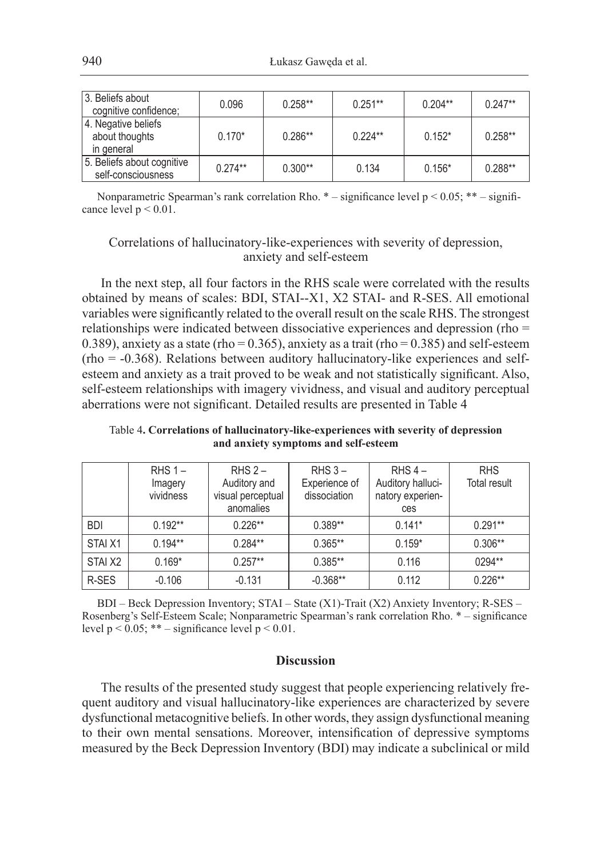| 3. Beliefs about<br>cognitive confidence;           | 0.096     | $0.258**$ | $0.251***$ | $0.204**$ | $0.247**$ |
|-----------------------------------------------------|-----------|-----------|------------|-----------|-----------|
| 4. Negative beliefs<br>about thoughts<br>in general | $0.170*$  | $0.286**$ | $0.224**$  | $0.152*$  | $0.258**$ |
| 5. Beliefs about cognitive<br>self-consciousness    | $0.274**$ | $0.300**$ | 0.134      | $0.156*$  | $0.288**$ |

Nonparametric Spearman's rank correlation Rho.  $*$  – significance level p < 0.05; \*\* – significance level  $p < 0.01$ .

## Correlations of hallucinatory-like-experiences with severity of depression, anxiety and self-esteem

In the next step, all four factors in the RHS scale were correlated with the results obtained by means of scales: BDI, STAI--X1, X2 STAI- and R-SES. All emotional variables were significantly related to the overall result on the scale RHS. The strongest relationships were indicated between dissociative experiences and depression (rho = 0.389), anxiety as a state (rho =  $0.365$ ), anxiety as a trait (rho =  $0.385$ ) and self-esteem (rho = -0.368). Relations between auditory hallucinatory-like experiences and selfesteem and anxiety as a trait proved to be weak and not statistically significant. Also, self-esteem relationships with imagery vividness, and visual and auditory perceptual aberrations were not significant. Detailed results are presented in Table 4

Table 4**. Correlations of hallucinatory-like-experiences with severity of depression and anxiety symptoms and self-esteem**

|            | $R$ HS 1 –<br>Imagery<br>vividness | $RHS$ 2 –<br>Auditory and<br>visual perceptual<br>anomalies | $RHS_3 -$<br>Experience of<br>dissociation | RHS $4-$<br>Auditory halluci-<br>natory experien-<br>ces | <b>RHS</b><br>Total result |
|------------|------------------------------------|-------------------------------------------------------------|--------------------------------------------|----------------------------------------------------------|----------------------------|
| <b>BDI</b> | $0.192**$                          | $0.226**$                                                   | $0.389**$                                  | $0.141*$                                                 | $0.291**$                  |
| STAI X1    | $0.194**$                          | $0.284**$                                                   | $0.365**$                                  | $0.159*$                                                 | $0.306**$                  |
| STAI X2    | $0.169*$                           | $0.257**$                                                   | $0.385**$                                  | 0.116                                                    | $0294**$                   |
| R-SES      | $-0.106$                           | $-0.131$                                                    | $-0.368**$                                 | 0.112                                                    | $0.226**$                  |

BDI – Beck Depression Inventory; STAI – State (X1)-Trait (X2) Anxiety Inventory; R-SES – Rosenberg's Self-Esteem Scale; Nonparametric Spearman's rank correlation Rho. \* – significance level  $p < 0.05$ ; \*\* – significance level  $p < 0.01$ .

## **Discussion**

The results of the presented study suggest that people experiencing relatively frequent auditory and visual hallucinatory-like experiences are characterized by severe dysfunctional metacognitive beliefs. In other words, they assign dysfunctional meaning to their own mental sensations. Moreover, intensification of depressive symptoms measured by the Beck Depression Inventory (BDI) may indicate a subclinical or mild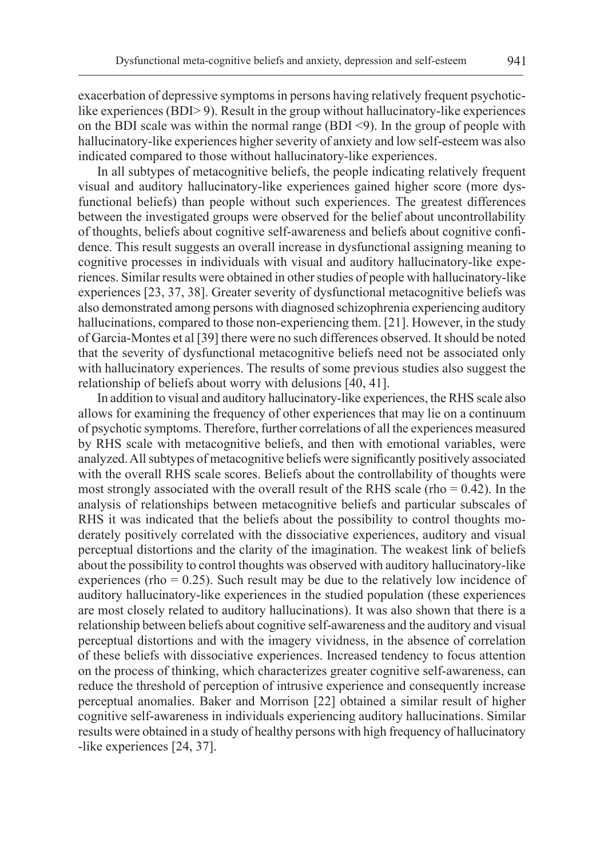exacerbation of depressive symptoms in persons having relatively frequent psychoticlike experiences (BDI> 9). Result in the group without hallucinatory-like experiences on the BDI scale was within the normal range (BDI <9). In the group of people with hallucinatory-like experiences higher severity of anxiety and low self-esteem was also indicated compared to those without hallucinatory-like experiences.

In all subtypes of metacognitive beliefs, the people indicating relatively frequent visual and auditory hallucinatory-like experiences gained higher score (more dysfunctional beliefs) than people without such experiences. The greatest differences between the investigated groups were observed for the belief about uncontrollability of thoughts, beliefs about cognitive self-awareness and beliefs about cognitive confidence. This result suggests an overall increase in dysfunctional assigning meaning to cognitive processes in individuals with visual and auditory hallucinatory-like experiences. Similar results were obtained in other studies of people with hallucinatory-like experiences [23, 37, 38]. Greater severity of dysfunctional metacognitive beliefs was also demonstrated among persons with diagnosed schizophrenia experiencing auditory hallucinations, compared to those non-experiencing them. [21]. However, in the study of Garcia-Montes et al [39] there were no such differences observed. It should be noted that the severity of dysfunctional metacognitive beliefs need not be associated only with hallucinatory experiences. The results of some previous studies also suggest the relationship of beliefs about worry with delusions [40, 41].

In addition to visual and auditory hallucinatory-like experiences, the RHS scale also allows for examining the frequency of other experiences that may lie on a continuum of psychotic symptoms. Therefore, further correlations of all the experiences measured by RHS scale with metacognitive beliefs, and then with emotional variables, were analyzed. All subtypes of metacognitive beliefs were significantly positively associated with the overall RHS scale scores. Beliefs about the controllability of thoughts were most strongly associated with the overall result of the RHS scale (rho  $= 0.42$ ). In the analysis of relationships between metacognitive beliefs and particular subscales of RHS it was indicated that the beliefs about the possibility to control thoughts moderately positively correlated with the dissociative experiences, auditory and visual perceptual distortions and the clarity of the imagination. The weakest link of beliefs about the possibility to control thoughts was observed with auditory hallucinatory-like experiences (rho  $= 0.25$ ). Such result may be due to the relatively low incidence of auditory hallucinatory-like experiences in the studied population (these experiences are most closely related to auditory hallucinations). It was also shown that there is a relationship between beliefs about cognitive self-awareness and the auditory and visual perceptual distortions and with the imagery vividness, in the absence of correlation of these beliefs with dissociative experiences. Increased tendency to focus attention on the process of thinking, which characterizes greater cognitive self-awareness, can reduce the threshold of perception of intrusive experience and consequently increase perceptual anomalies. Baker and Morrison [22] obtained a similar result of higher cognitive self-awareness in individuals experiencing auditory hallucinations. Similar results were obtained in a study of healthy persons with high frequency of hallucinatory -like experiences [24, 37].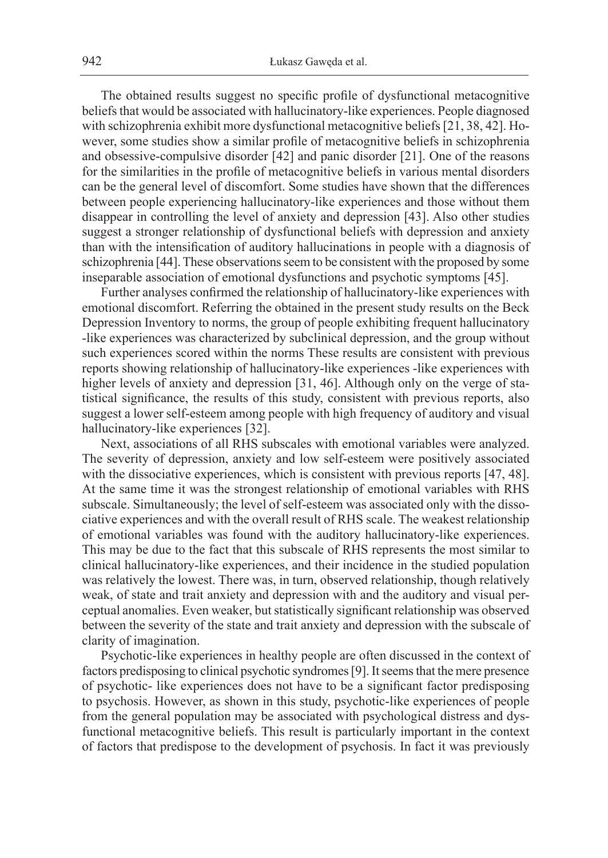The obtained results suggest no specific profile of dysfunctional metacognitive beliefs that would be associated with hallucinatory-like experiences. People diagnosed with schizophrenia exhibit more dysfunctional metacognitive beliefs [21, 38, 42]. However, some studies show a similar profile of metacognitive beliefs in schizophrenia and obsessive-compulsive disorder [42] and panic disorder [21]. One of the reasons for the similarities in the profile of metacognitive beliefs in various mental disorders can be the general level of discomfort. Some studies have shown that the differences between people experiencing hallucinatory-like experiences and those without them disappear in controlling the level of anxiety and depression [43]. Also other studies suggest a stronger relationship of dysfunctional beliefs with depression and anxiety than with the intensification of auditory hallucinations in people with a diagnosis of schizophrenia [44]. These observations seem to be consistent with the proposed by some inseparable association of emotional dysfunctions and psychotic symptoms [45].

Further analyses confirmed the relationship of hallucinatory-like experiences with emotional discomfort. Referring the obtained in the present study results on the Beck Depression Inventory to norms, the group of people exhibiting frequent hallucinatory -like experiences was characterized by subclinical depression, and the group without such experiences scored within the norms These results are consistent with previous reports showing relationship of hallucinatory-like experiences -like experiences with higher levels of anxiety and depression [31, 46]. Although only on the verge of statistical significance, the results of this study, consistent with previous reports, also suggest a lower self-esteem among people with high frequency of auditory and visual hallucinatory-like experiences [32].

Next, associations of all RHS subscales with emotional variables were analyzed. The severity of depression, anxiety and low self-esteem were positively associated with the dissociative experiences, which is consistent with previous reports [47, 48]. At the same time it was the strongest relationship of emotional variables with RHS subscale. Simultaneously; the level of self-esteem was associated only with the dissociative experiences and with the overall result of RHS scale. The weakest relationship of emotional variables was found with the auditory hallucinatory-like experiences. This may be due to the fact that this subscale of RHS represents the most similar to clinical hallucinatory-like experiences, and their incidence in the studied population was relatively the lowest. There was, in turn, observed relationship, though relatively weak, of state and trait anxiety and depression with and the auditory and visual perceptual anomalies. Even weaker, but statistically significant relationship was observed between the severity of the state and trait anxiety and depression with the subscale of clarity of imagination.

Psychotic-like experiences in healthy people are often discussed in the context of factors predisposing to clinical psychotic syndromes [9]. It seems that the mere presence of psychotic- like experiences does not have to be a significant factor predisposing to psychosis. However, as shown in this study, psychotic-like experiences of people from the general population may be associated with psychological distress and dysfunctional metacognitive beliefs. This result is particularly important in the context of factors that predispose to the development of psychosis. In fact it was previously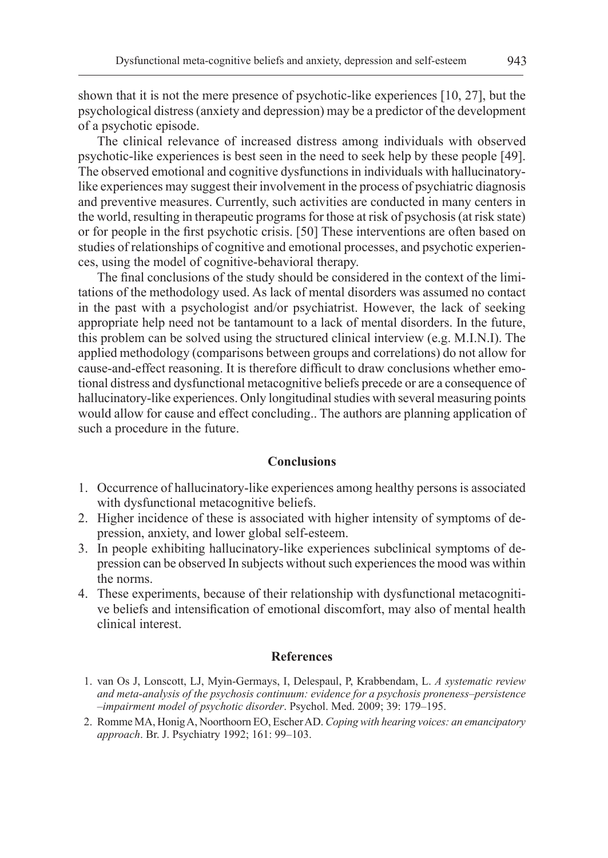shown that it is not the mere presence of psychotic-like experiences [10, 27], but the psychological distress (anxiety and depression) may be a predictor of the development of a psychotic episode.

The clinical relevance of increased distress among individuals with observed psychotic-like experiences is best seen in the need to seek help by these people [49]. The observed emotional and cognitive dysfunctions in individuals with hallucinatorylike experiences may suggest their involvement in the process of psychiatric diagnosis and preventive measures. Currently, such activities are conducted in many centers in the world, resulting in therapeutic programs for those at risk of psychosis (at risk state) or for people in the first psychotic crisis. [50] These interventions are often based on studies of relationships of cognitive and emotional processes, and psychotic experiences, using the model of cognitive-behavioral therapy.

The final conclusions of the study should be considered in the context of the limitations of the methodology used. As lack of mental disorders was assumed no contact in the past with a psychologist and/or psychiatrist. However, the lack of seeking appropriate help need not be tantamount to a lack of mental disorders. In the future, this problem can be solved using the structured clinical interview (e.g. M.I.N.I). The applied methodology (comparisons between groups and correlations) do not allow for cause-and-effect reasoning. It is therefore difficult to draw conclusions whether emotional distress and dysfunctional metacognitive beliefs precede or are a consequence of hallucinatory-like experiences. Only longitudinal studies with several measuring points would allow for cause and effect concluding.. The authors are planning application of such a procedure in the future.

## **Conclusions**

- 1. Occurrence of hallucinatory-like experiences among healthy persons is associated with dysfunctional metacognitive beliefs.
- 2. Higher incidence of these is associated with higher intensity of symptoms of depression, anxiety, and lower global self-esteem.
- 3. In people exhibiting hallucinatory-like experiences subclinical symptoms of depression can be observed In subjects without such experiences the mood was within the norms.
- 4. These experiments, because of their relationship with dysfunctional metacognitive beliefs and intensification of emotional discomfort, may also of mental health clinical interest.

#### **References**

- 1. van Os J, Lonscott, LJ, Myin-Germays, I, Delespaul, P, Krabbendam, L. *A systematic review and meta-analysis of the psychosis continuum: evidence for a psychosis proneness–persistence –impairment model of psychotic disorder*. Psychol. Med. 2009; 39: 179–195.
- 2. Romme MA, Honig A, Noorthoorn EO, Escher AD. *Coping with hearing voices: an emancipatory approach*. Br. J. Psychiatry 1992; 161: 99–103.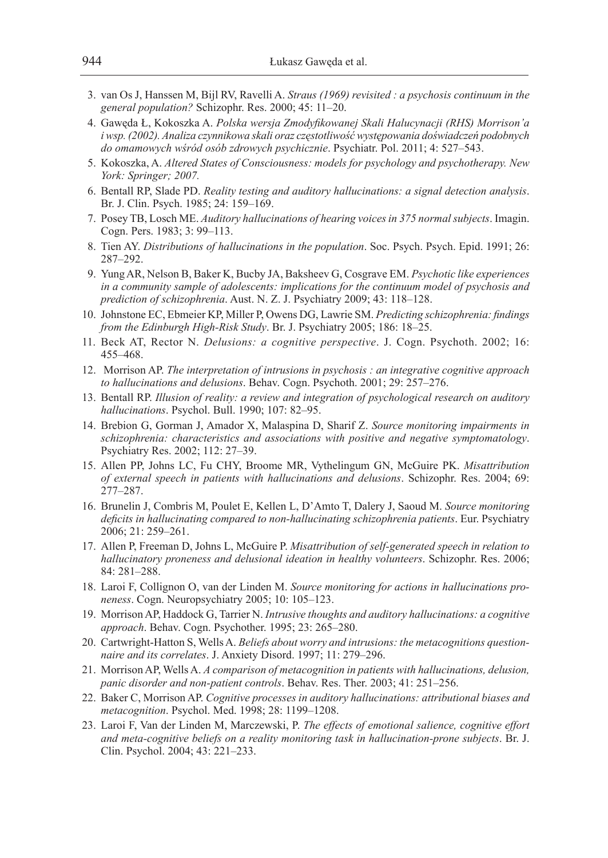- 3. van Os J, Hanssen M, Bijl RV, Ravelli A. *Straus (1969) revisited : a psychosis continuum in the general population?* Schizophr. Res. 2000; 45: 11–20.
- 4. Gawęda Ł, Kokoszka A. *Polska wersja Zmodyfikowanej Skali Halucynacji (RHS) Morrison'a i wsp. (2002). Analiza czynnikowa skali oraz częstotliwość występowania doświadczeń podobnych do omamowych wśród osób zdrowych psychicznie*. Psychiatr. Pol. 2011; 4: 527–543.
- 5. Kokoszka, A. *Altered States of Consciousness: models for psychology and psychotherapy. New York: Springer; 2007.*
- 6. Bentall RP, Slade PD. *Reality testing and auditory hallucinations: a signal detection analysis*. Br. J. Clin. Psych. 1985; 24: 159–169.
- 7. Posey TB, Losch ME. *Auditory hallucinations of hearing voices in 375 normal subjects*. Imagin. Cogn. Pers. 1983; 3: 99–113.
- 8. Tien AY. *Distributions of hallucinations in the population*. Soc. Psych. Psych. Epid. 1991; 26: 287–292.
- 9. Yung AR, Nelson B, Baker K, Bucby JA, Baksheev G, Cosgrave EM. *Psychotic like experiences in a community sample of adolescents: implications for the continuum model of psychosis and prediction of schizophrenia*. Aust. N. Z. J. Psychiatry 2009; 43: 118–128.
- 10. Johnstone EC, Ebmeier KP, Miller P, Owens DG, Lawrie SM. *Predicting schizophrenia: findings from the Edinburgh High-Risk Study*. Br. J. Psychiatry 2005; 186: 18–25.
- 11. Beck AT, Rector N. *Delusions: a cognitive perspective*. J. Cogn. Psychoth. 2002; 16: 455–468.
- 12. Morrison AP. *The interpretation of intrusions in psychosis : an integrative cognitive approach to hallucinations and delusions*. Behav. Cogn. Psychoth. 2001; 29: 257–276.
- 13. Bentall RP. *Illusion of reality: a review and integration of psychological research on auditory hallucinations*. Psychol. Bull. 1990; 107: 82–95.
- 14. Brebion G, Gorman J, Amador X, Malaspina D, Sharif Z. *Source monitoring impairments in schizophrenia: characteristics and associations with positive and negative symptomatology*. Psychiatry Res. 2002; 112: 27–39.
- 15. Allen PP, Johns LC, Fu CHY, Broome MR, Vythelingum GN, McGuire PK. *Misattribution of external speech in patients with hallucinations and delusions*. Schizophr. Res. 2004; 69: 277–287.
- 16. Brunelin J, Combris M, Poulet E, Kellen L, D'Amto T, Dalery J, Saoud M. *Source monitoring deficits in hallucinating compared to non-hallucinating schizophrenia patients*. Eur. Psychiatry 2006; 21: 259–261.
- 17. Allen P, Freeman D, Johns L, McGuire P. *Misattribution of self-generated speech in relation to hallucinatory proneness and delusional ideation in healthy volunteers*. Schizophr. Res. 2006; 84: 281–288.
- 18. Laroi F, Collignon O, van der Linden M. *Source monitoring for actions in hallucinations proneness*. Cogn. Neuropsychiatry 2005; 10: 105–123.
- 19. Morrison AP, Haddock G, Tarrier N. *Intrusive thoughts and auditory hallucinations: a cognitive approach*. Behav. Cogn. Psychother. 1995; 23: 265–280.
- 20. Cartwright-Hatton S, Wells A. *Beliefs about worry and intrusions: the metacognitions questionnaire and its correlates*. J. Anxiety Disord. 1997; 11: 279–296.
- 21. Morrison AP, Wells A. *A comparison of metacognition in patients with hallucinations, delusion, panic disorder and non-patient controls*. Behav. Res. Ther. 2003; 41: 251–256.
- 22. Baker C, Morrison AP. *Cognitive processes in auditory hallucinations: attributional biases and metacognition*. Psychol. Med. 1998; 28: 1199–1208.
- 23. Laroi F, Van der Linden M, Marczewski, P. *The effects of emotional salience, cognitive effort and meta-cognitive beliefs on a reality monitoring task in hallucination-prone subjects*. Br. J. Clin. Psychol. 2004; 43: 221–233.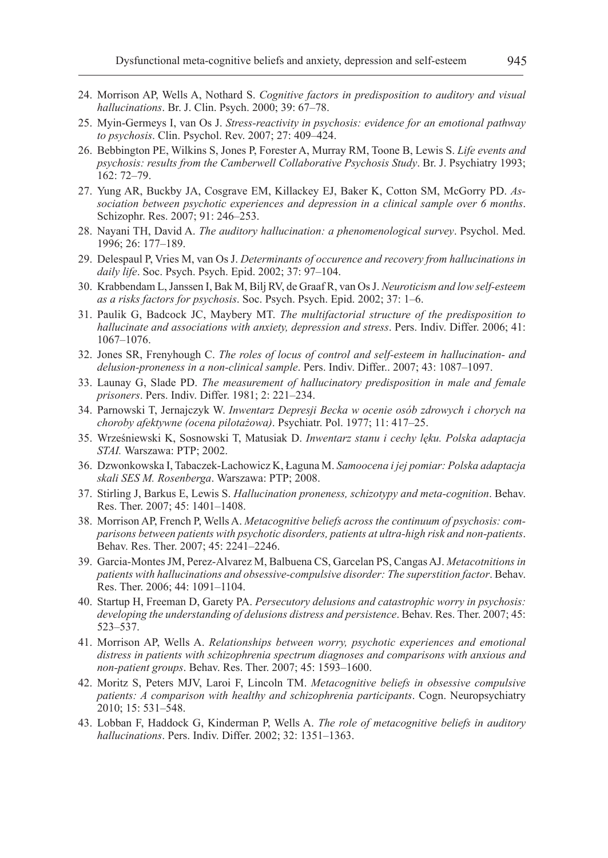- 24. Morrison AP, Wells A, Nothard S. *Cognitive factors in predisposition to auditory and visual hallucinations*. Br. J. Clin. Psych. 2000; 39: 67–78.
- 25. Myin-Germeys I, van Os J. *Stress-reactivity in psychosis: evidence for an emotional pathway to psychosis*. Clin. Psychol. Rev. 2007; 27: 409–424.
- 26. Bebbington PE, Wilkins S, Jones P, Forester A, Murray RM, Toone B, Lewis S. *Life events and psychosis: results from the Camberwell Collaborative Psychosis Study*. Br. J. Psychiatry 1993; 162: 72–79.
- 27. Yung AR, Buckby JA, Cosgrave EM, Killackey EJ, Baker K, Cotton SM, McGorry PD. *Association between psychotic experiences and depression in a clinical sample over 6 months*. Schizophr. Res. 2007; 91: 246–253.
- 28. Nayani TH, David A. *The auditory hallucination: a phenomenological survey*. Psychol. Med. 1996; 26: 177–189.
- 29. Delespaul P, Vries M, van Os J. *Determinants of occurence and recovery from hallucinations in daily life*. Soc. Psych. Psych. Epid. 2002; 37: 97–104.
- 30. Krabbendam L, Janssen I, Bak M, Bilj RV, de Graaf R, van Os J. *Neuroticism and low self-esteem as a risks factors for psychosis*. Soc. Psych. Psych. Epid. 2002; 37: 1–6.
- 31. Paulik G, Badcock JC, Maybery MT. *The multifactorial structure of the predisposition to hallucinate and associations with anxiety, depression and stress*. Pers. Indiv. Differ. 2006; 41: 1067–1076.
- 32. Jones SR, Frenyhough C. *The roles of locus of control and self-esteem in hallucination- and delusion-proneness in a non-clinical sample*. Pers. Indiv. Differ.. 2007; 43: 1087–1097.
- 33. Launay G, Slade PD. *The measurement of hallucinatory predisposition in male and female prisoners*. Pers. Indiv. Differ. 1981; 2: 221–234.
- 34. Parnowski T, Jernajczyk W. *Inwentarz Depresji Becka w ocenie osób zdrowych i chorych na choroby afektywne (ocena pilotażowa)*. Psychiatr. Pol. 1977; 11: 417–25.
- 35. Wrześniewski K, Sosnowski T, Matusiak D. *Inwentarz stanu i cechy lęku. Polska adaptacja STAI.* Warszawa: PTP; 2002.
- 36. Dzwonkowska I, Tabaczek-Lachowicz K, Łaguna M. *Samoocena i jej pomiar: Polska adaptacja skali SES M. Rosenberga*. Warszawa: PTP; 2008.
- 37. Stirling J, Barkus E, Lewis S. *Hallucination proneness, schizotypy and meta-cognition*. Behav. Res. Ther. 2007; 45: 1401–1408.
- 38. Morrison AP, French P, Wells A. *Metacognitive beliefs across the continuum of psychosis: comparisons between patients with psychotic disorders, patients at ultra-high risk and non-patients*. Behav. Res. Ther. 2007; 45: 2241–2246.
- 39. Garcia-Montes JM, Perez-Alvarez M, Balbuena CS, Garcelan PS, Cangas AJ. *Metacotnitions in patients with hallucinations and obsessive-compulsive disorder: The superstition factor*. Behav. Res. Ther. 2006; 44: 1091–1104.
- 40. Startup H, Freeman D, Garety PA. *Persecutory delusions and catastrophic worry in psychosis: developing the understanding of delusions distress and persistence*. Behav. Res. Ther. 2007; 45: 523–537.
- 41. Morrison AP, Wells A. *Relationships between worry, psychotic experiences and emotional distress in patients with schizophrenia spectrum diagnoses and comparisons with anxious and non-patient groups*. Behav. Res. Ther. 2007; 45: 1593–1600.
- 42. Moritz S, Peters MJV, Laroi F, Lincoln TM. *Metacognitive beliefs in obsessive compulsive patients: A comparison with healthy and schizophrenia participants*. Cogn. Neuropsychiatry 2010; 15: 531–548.
- 43. Lobban F, Haddock G, Kinderman P, Wells A. *The role of metacognitive beliefs in auditory hallucinations*. Pers. Indiv. Differ. 2002; 32: 1351–1363.